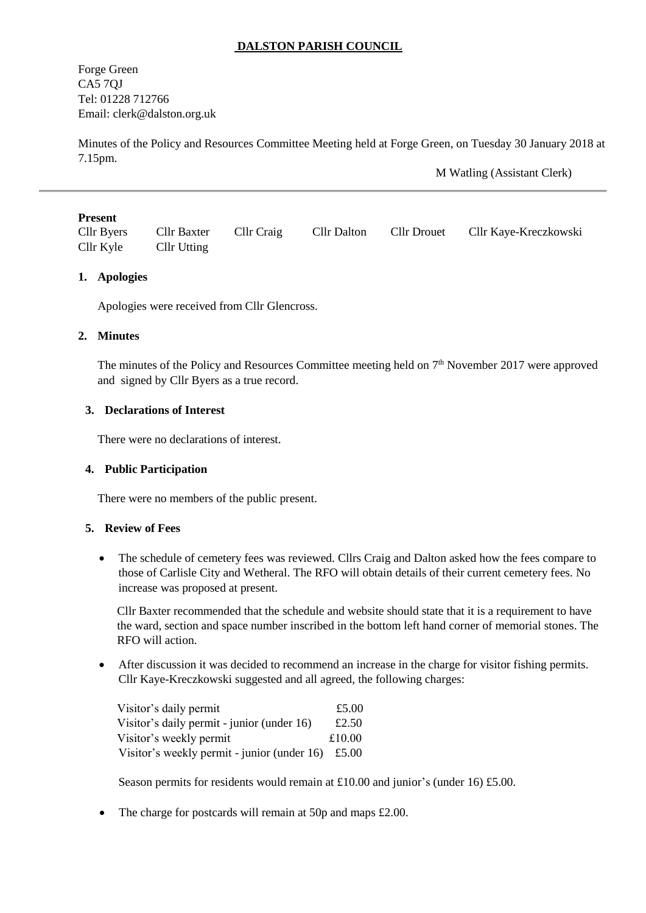## **DALSTON PARISH COUNCIL**

Forge Green CA5 7QJ Tel: 01228 712766 Email: [clerk@dalston.org.uk](mailto:clerk@dalston.org.uk)

Minutes of the Policy and Resources Committee Meeting held at Forge Green, on Tuesday 30 January 2018 at 7.15pm.

M Watling (Assistant Clerk)

#### **Present**

| Cllr Byers | Cllr Baxter Cllr Craig |  | Cllr Dalton Cllr Drouet Cllr Kaye-Kreczkowski |
|------------|------------------------|--|-----------------------------------------------|
| Cllr Kyle  | Cllr Utting            |  |                                               |

### **1. Apologies**

Apologies were received from Cllr Glencross.

#### **2. Minutes**

The minutes of the Policy and Resources Committee meeting held on  $7<sup>th</sup>$  November 2017 were approved and signed by Cllr Byers as a true record.

### **3. Declarations of Interest**

There were no declarations of interest.

#### **4. Public Participation**

There were no members of the public present.

#### **5. Review of Fees**

• The schedule of cemetery fees was reviewed. Cllrs Craig and Dalton asked how the fees compare to those of Carlisle City and Wetheral. The RFO will obtain details of their current cemetery fees. No increase was proposed at present.

Cllr Baxter recommended that the schedule and website should state that it is a requirement to have the ward, section and space number inscribed in the bottom left hand corner of memorial stones. The RFO will action.

 After discussion it was decided to recommend an increase in the charge for visitor fishing permits. Cllr Kaye-Kreczkowski suggested and all agreed, the following charges:

| Visitor's daily permit                      | £5.00  |
|---------------------------------------------|--------|
| Visitor's daily permit - junior (under 16)  | £2.50  |
| Visitor's weekly permit                     | £10.00 |
| Visitor's weekly permit - junior (under 16) | £5.00  |

Season permits for residents would remain at £10.00 and junior's (under 16) £5.00.

• The charge for postcards will remain at 50p and maps £2.00.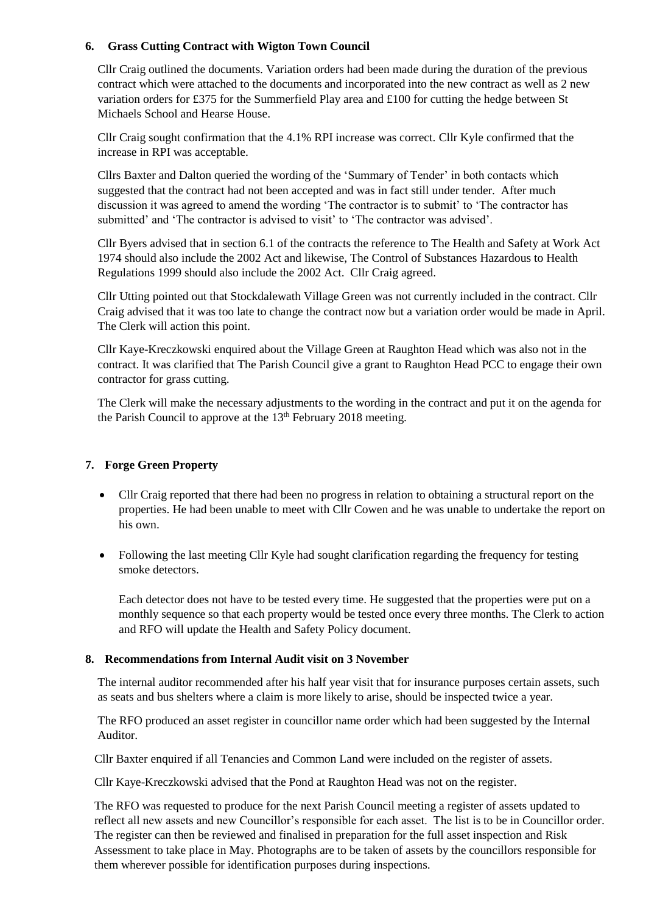## **6. Grass Cutting Contract with Wigton Town Council**

Cllr Craig outlined the documents. Variation orders had been made during the duration of the previous contract which were attached to the documents and incorporated into the new contract as well as 2 new variation orders for £375 for the Summerfield Play area and £100 for cutting the hedge between St Michaels School and Hearse House.

Cllr Craig sought confirmation that the 4.1% RPI increase was correct. Cllr Kyle confirmed that the increase in RPI was acceptable.

Cllrs Baxter and Dalton queried the wording of the 'Summary of Tender' in both contacts which suggested that the contract had not been accepted and was in fact still under tender. After much discussion it was agreed to amend the wording 'The contractor is to submit' to 'The contractor has submitted' and 'The contractor is advised to visit' to 'The contractor was advised'.

Cllr Byers advised that in section 6.1 of the contracts the reference to The Health and Safety at Work Act 1974 should also include the 2002 Act and likewise, The Control of Substances Hazardous to Health Regulations 1999 should also include the 2002 Act. Cllr Craig agreed.

Cllr Utting pointed out that Stockdalewath Village Green was not currently included in the contract. Cllr Craig advised that it was too late to change the contract now but a variation order would be made in April. The Clerk will action this point.

Cllr Kaye-Kreczkowski enquired about the Village Green at Raughton Head which was also not in the contract. It was clarified that The Parish Council give a grant to Raughton Head PCC to engage their own contractor for grass cutting.

The Clerk will make the necessary adjustments to the wording in the contract and put it on the agenda for the Parish Council to approve at the 13<sup>th</sup> February 2018 meeting.

## **7. Forge Green Property**

- Cllr Craig reported that there had been no progress in relation to obtaining a structural report on the properties. He had been unable to meet with Cllr Cowen and he was unable to undertake the report on his own.
- Following the last meeting Cllr Kyle had sought clarification regarding the frequency for testing smoke detectors.

Each detector does not have to be tested every time. He suggested that the properties were put on a monthly sequence so that each property would be tested once every three months. The Clerk to action and RFO will update the Health and Safety Policy document.

### **8. Recommendations from Internal Audit visit on 3 November**

The internal auditor recommended after his half year visit that for insurance purposes certain assets, such as seats and bus shelters where a claim is more likely to arise, should be inspected twice a year.

The RFO produced an asset register in councillor name order which had been suggested by the Internal Auditor.

Cllr Baxter enquired if all Tenancies and Common Land were included on the register of assets.

Cllr Kaye-Kreczkowski advised that the Pond at Raughton Head was not on the register.

The RFO was requested to produce for the next Parish Council meeting a register of assets updated to reflect all new assets and new Councillor's responsible for each asset. The list is to be in Councillor order. The register can then be reviewed and finalised in preparation for the full asset inspection and Risk Assessment to take place in May. Photographs are to be taken of assets by the councillors responsible for them wherever possible for identification purposes during inspections.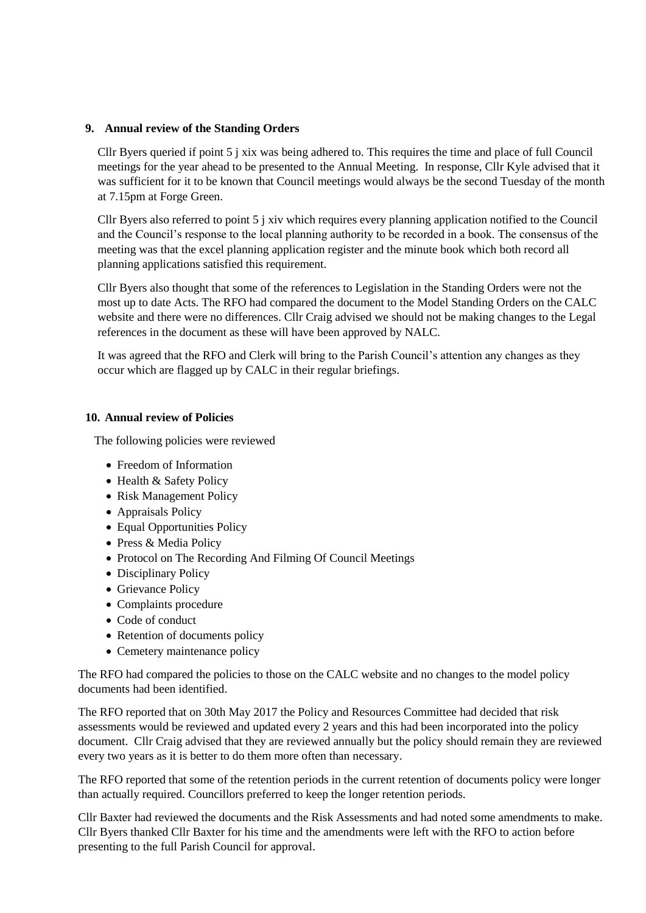### **9. Annual review of the Standing Orders**

Cllr Byers queried if point 5 j xix was being adhered to. This requires the time and place of full Council meetings for the year ahead to be presented to the Annual Meeting. In response, Cllr Kyle advised that it was sufficient for it to be known that Council meetings would always be the second Tuesday of the month at 7.15pm at Forge Green.

Cllr Byers also referred to point 5 j xiv which requires every planning application notified to the Council and the Council's response to the local planning authority to be recorded in a book. The consensus of the meeting was that the excel planning application register and the minute book which both record all planning applications satisfied this requirement.

Cllr Byers also thought that some of the references to Legislation in the Standing Orders were not the most up to date Acts. The RFO had compared the document to the Model Standing Orders on the CALC website and there were no differences. Cllr Craig advised we should not be making changes to the Legal references in the document as these will have been approved by NALC.

It was agreed that the RFO and Clerk will bring to the Parish Council's attention any changes as they occur which are flagged up by CALC in their regular briefings.

### **10. Annual review of Policies**

The following policies were reviewed

- Freedom of Information
- Health & Safety Policy
- Risk Management Policy
- Appraisals Policy
- Equal Opportunities Policy
- Press & Media Policy
- Protocol on The Recording And Filming Of Council Meetings
- Disciplinary Policy
- Grievance Policy
- Complaints procedure
- Code of conduct
- Retention of documents policy
- Cemetery maintenance policy

The RFO had compared the policies to those on the CALC website and no changes to the model policy documents had been identified.

The RFO reported that on 30th May 2017 the Policy and Resources Committee had decided that risk assessments would be reviewed and updated every 2 years and this had been incorporated into the policy document. Cllr Craig advised that they are reviewed annually but the policy should remain they are reviewed every two years as it is better to do them more often than necessary.

The RFO reported that some of the retention periods in the current retention of documents policy were longer than actually required. Councillors preferred to keep the longer retention periods.

Cllr Baxter had reviewed the documents and the Risk Assessments and had noted some amendments to make. Cllr Byers thanked Cllr Baxter for his time and the amendments were left with the RFO to action before presenting to the full Parish Council for approval.